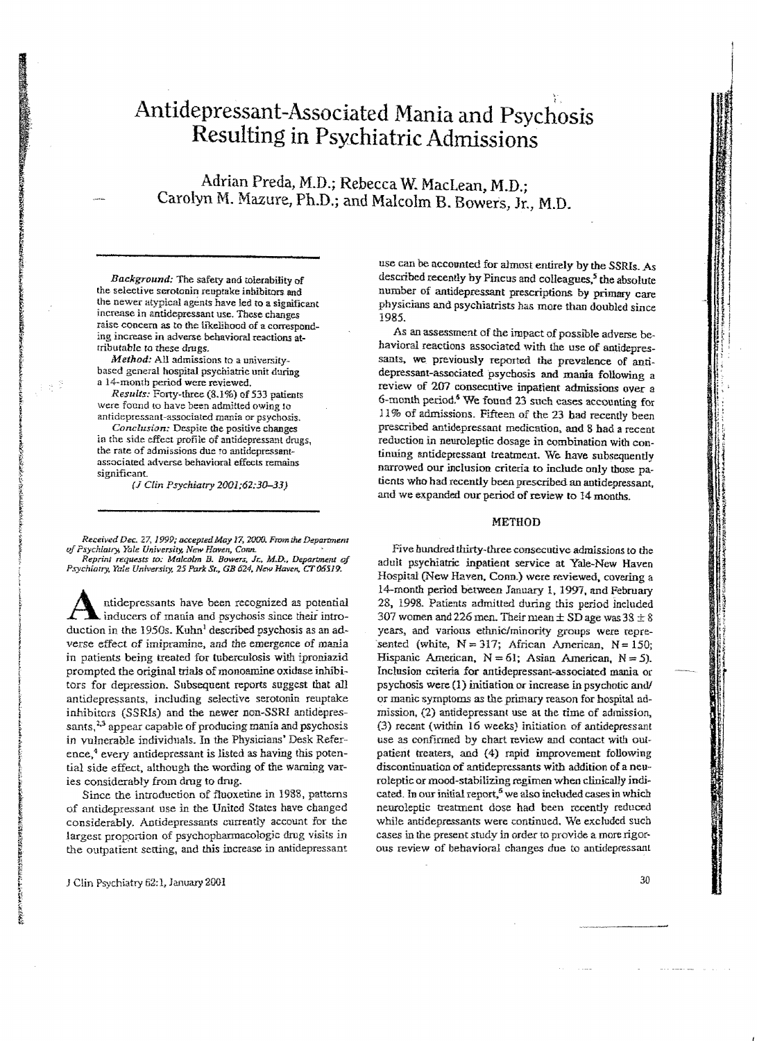# **Antidepressant-Associated Mania and Psychosis Resulting in Psychiatric Admissions**

Adrian Preda, M.D.; Rebecca W. MacLean, M.D.; Carolyn M. Mazure, Ph.D.; and Malcolm B. Bowers, Jr., M.D.

*Background:* The safely and tolerability of the selective serotonin reuptake inhibitors and the newer atypical agents have led to a significant .increase in antidepressant use. These changes raise concern as to the likelihood of a corresponding increase in adverse behavioral reactions attributable to these drugs.

*Method:* All admissions to a universitybased general hospital psychiatric unit during a 14-month period were reviewed.

*Results:* Forty-three (8.1%) of 533 patients were found to have been admitted owing to antidepressant-associated mania or psychosis.

*Conclusion:* Despite the positive changes in the side effect profile of antidepressant drugs, the rate of admissions due to antidepressantassociated adverse behavioral effects remains significant.

(J *Clin Psychiatry 2OO1;6Z:30-33)* 

*Received Dec. 27, 1999; accepted May 17, 2000. From the Department*  $of$  Psychiatry, Yale University, New Haven, Conn.

*Reprint requests to: Malcolm B. Bowers, Jr., M.D., Department of Psychiatry. Yale Universiry.* 25 *Park Sr., GR* 624. *N\_ Haven.* cr065J9.

Antidepressants have been recognized as potential<br>inducers of mania and psychosis since their intro-<br>duction in the 1950s. Kuhal described asymbosis as an od duction in the 1950s. Kuhn<sup>1</sup> described psychosis as an adverse effect of imipramine, and the emergence of mania in patients being treated for tuberculosis with iproniazid prompted the original trials of monoamine oxidase inhibitors for depression. Subsequent reports suggest that all antidepressants, including selective serotonin reuptake inhibitors *(SSRIs)* and the newer non-SSRI antidepressants, $23$  appear capable of producing mania and psychosis in vulnerable individuals. In the Physicians' Desk Reference,<sup>4</sup> every antidepressant is listed as having this potential side effect, although the wording of the warning varies considerably from drug to drug.

Since the introduction of fluoxetine in 1988, patterns of antidepressant use in the United States have changed considerably. Antidepressants currently account for the largest proportion of psychopharmacologic drug visits in the outpatient setting, and this increase in antidepressant use can be accounted for almost entirely by the SSRIs. As described recently by Pincus and colleagues,<sup>5</sup> the absolute number of antidepressant prescriptions by primary care physicians and psychiatrists has more than doubled since 1985.

As an assessment of the impact of possible adverse be. havioral reactions associated with the use of antidepressants, we previously reported the prevalence of antidepressant-associated psychosis and mania following a review of 207 consecutive inpatient admissions over a 6-month period.<sup>6</sup> We found 23 such cases accounting for 11% of admissions. Fifteen of the 23 had recently been prescribed antidepressant medication, and 8 had a recent reduction in neuroleptic dosage in combination with continuing antidepressant treatment. We. have subsequently narrowed our inclusion criteria to include only those patients who had recently been prescribed an antidepressant, and we expanded OUr period of review to 14months.

#### METHOD

Five hundred thirty-three consecutive admissions to the aduit psychiatric inpatient service at Yale-New Haven Hospital (New Haven. Conn.) were reviewed, covering a 14-month period between January 1, 1997, and February 28, 1998. Patients admitted during this period included 307 women and 226 men. Their mean  $\pm$  SD age was 38  $\pm$  8 years, and various ethnic/minority groups were repre 'sented (white,  $N=317$ ; African American,  $N=150$ ; Hispanic American,  $N = 61$ ; Asian American,  $N = 5$ ). Inclusion criteria for antidepressant-associated mania or psychosis were (1) initiation or increase in psychotic and/ or manic symptoms as the primary reason for hospital admission, (2) antidepressant use at the time of admission, (3) recent (within 16 weeks) initiation of antidepressant use as confirmed by chart review and contact with outpatient treaters, and (4) rapid improvement following discontinuation of antidepressants with addition of a neuroleptic ormood-stabilizing regimen when clinically indicated. In our initial report,<sup>5</sup> we also included cases in which neuroleptic treatment dose had been recently reduced while antidepressants were continued. We excluded such cases in the present study in order to provide a more rigorous review of behavioral changes due to antidepressant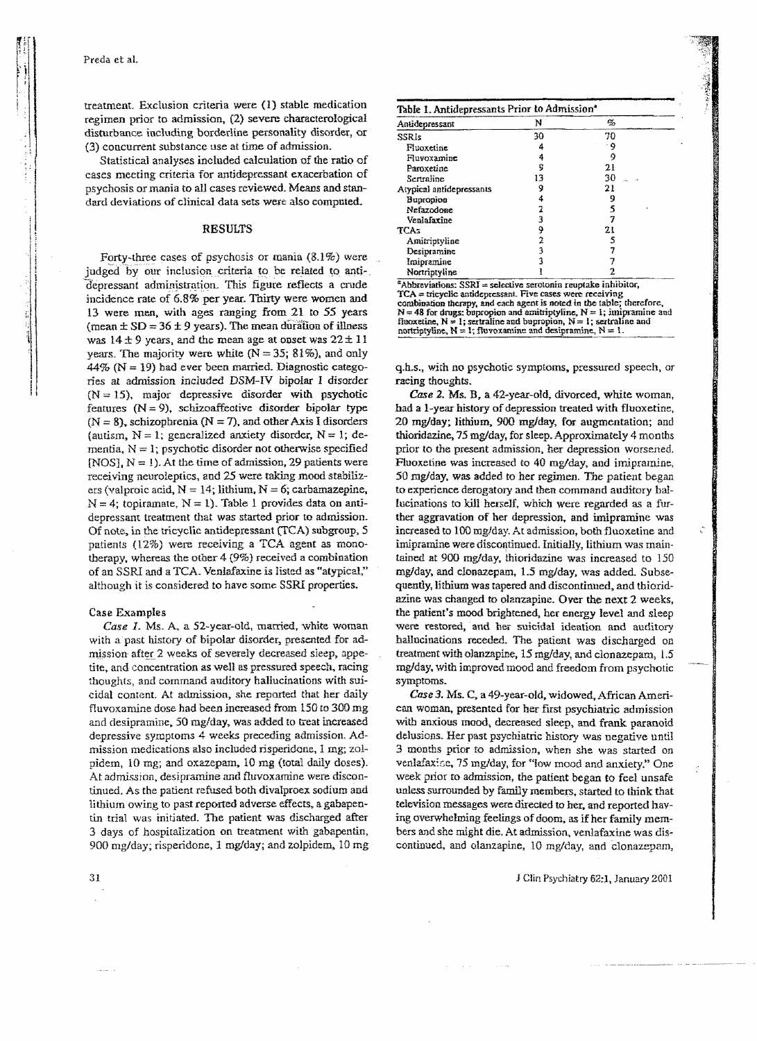treatment. Exclusion criteria were (1) stable medication regimen prior to admission, (2) severe characterological disturbance including borderline personality disorder, or (3) concurrent substance use at time of admission.

Statistical analyses included calculation of the ratio of cases meeting criteria for antidepressant exacerbation of psychosis or mania to all cases reviewed. Means and standard deviations of clinical data sets were also computed.

#### RESULTS

Forty-three cases of psychosis or mania (3.1%) were judged by our inclusion criteria to be related to antidepressant administration. This figure reflects a crude incidence rate of 6.8% per year. Thirty were women and 13 were men, with ages ranging from 21 to 55 years (mean  $\pm$  SD = 36  $\pm$  9 years). The mean duration of illness was  $14±9$  years, and the mean age at onset was  $22±11$ years. The majority were white  $(N = 35; 81\%)$ , and only  $44\%$  (N = 19) had ever been married. Diagnostic categories at admission included DSM-IV bipolar I disorder  $(N = 15)$ , major depressive disorder with psychotic features  $(N = 9)$ , schizoaffective disorder bipolar type  $(N = 8)$ , schizophrenia  $(N = 7)$ , and other Axis I disorders (autism,  $N = 1$ ; generalized anxiety disorder,  $N = 1$ ; dementia,  $N = 1$ ; psychotic disorder not otherwise specified (NOS),  $N = 1$ ). At the time of admission, 29 patients were receiving neuroleptics, and 25 were taking mood stabilizers (valproic acid,  $N = 14$ ; lithium,  $N = 6$ ; carbamazepine,  $N = 4$ ; topiramate,  $N = 1$ ). Table 1 provides data on antidepressant treatment that was started prior to admission. Of note, in the tricyclic antidepressant (TCA) subgroup, 5 patients  $(12%)$  were receiving a TCA agent as monotherapy, whereas the other  $4(9%)$  received a combination of an SSRI and a TCA. Venlafaxine is listed as "atypical," although it is considered to have some SSRI properties.

#### Case Examples

*Case* 1. Ms. A, a 52-year-old, married, white woman with a past history of bipolar disorder, presented for admission after 2 weeks of severely decreased sleep, appetite, and concentration as well as pressured speech, racing thoughts, and command auditory hallucinations with suicidal content. At admission, she reported that her daily fluvoxamine dose had been increased from 150 to 300 mg and desipramine, 50 mg/day, was added to treat increased depressive symptoms 4 weeks preceding admission. Admission medications also included risperidone, 1 mg; zolpidem, 10 mg; and oxazepam, 10 mg (total daily doses). At admission, desipramine and fluvoxamine were discontinued. As the patient refused both divalproex sodium and lithium owing to past reported adverse effects, a gabapentin trial was initiated. The patient was discharged after 3 days of hospitalization on treatment with gabapentin, 900 mg/day; risperidone, 1 mg/day; and zolpidem. 10 mg

| Antidepressant                                                                                                                                                                                       | N  | q, |
|------------------------------------------------------------------------------------------------------------------------------------------------------------------------------------------------------|----|----|
| SSRIs                                                                                                                                                                                                | 30 | 70 |
| Fluoxetine                                                                                                                                                                                           | 4  | ۰9 |
| Fluvoxamine                                                                                                                                                                                          | 4  | 9  |
| Paroxetine                                                                                                                                                                                           | 9  | 21 |
| Sertraline                                                                                                                                                                                           | 13 | 30 |
| Atypical antidepressants                                                                                                                                                                             | 9  | 21 |
| Buoropion                                                                                                                                                                                            | 4  | 9  |
| Nefazodone                                                                                                                                                                                           | 2  | 5  |
| Venlafaxine                                                                                                                                                                                          | 3  |    |
| TCA5                                                                                                                                                                                                 | 9  | 21 |
| Amitriptyline                                                                                                                                                                                        | 2  |    |
| Desipramine                                                                                                                                                                                          | 3  |    |
| Imipramine                                                                                                                                                                                           |    |    |
| Nortriptyline                                                                                                                                                                                        |    |    |
| "Abbreviations: SSRI = selective serotonin reuptake inhibitor,<br>TCA = tricyclic antidepressant. Five cases were receiving<br>combination therapy, and each agent is noted in the table; therefore, |    |    |
| $N = 48$ for drugs: bupropion and amitriptyline, $N = 1$ ; imipramine and                                                                                                                            |    |    |

q.h.s., with no psychotic symptoms. pressured speech, or racing thoughts.

fluoxetine, N = 1; sertraline and bupropion, N = 1; sertraline and nortriptyline, N = 1; fluvoxamine and desipramine, N = 1.

*Case* 2. Ms. **B.** a 42-year-old, divorced, white woman. had a 1-year history of depression treated with fluoxetine. 20 mg/day; lithium. 900 mg/day, for augmentation; and thioridazine, 75 mg/day, for sleep. Approximately 4 months prior to the present admission, her depression worsened. Fluoxetine was increased to 40 mg/day, and imipramine, 50 mg/day, was added to her regimen. The patient began to experience derogatory and then command auditory ballucinations to kill herself, which were regarded as a further aggravation of her depression, and imipramine was increased to 100 mg/day. At admission, both fluoxetine and imipramine were discontinued. Initially, lithium was maintained at 900 mg/day, thioridazine was increased to 150 mg/day, and clonazepam, 1.5 mg/day, was added. Subsequently, lithium was tapered and discontinued, and thioridazine was changed to olanzapine. Over the next 2 weeks, the patient's mood brightened, her energy level and sleep were restored, and her suicidal ideation and auditory ballucinations receded. The patient was discharged on treatment with olanzapine, 15 mg/day, and clonazepam, 1.5 mg/day, with improved mood and freedom from psychotic symptoms.

*Case* 3. Ms. C. a 49-year-old. widowed, African American woman, presented for her first psychiatric admission with anxious mood, decreased sleep, and frank paranoid delusions. Her past psychiatric history was negative until 3 months prior to admission, when she was started on venlafaxise, 75 mg/day, for "low mood and anxiety." One week prior to admission, the patient began to feel unsafe unless surrounded by family members, started to think that television messages were directed to her. and reported having overwhelming feelings of doom, as if her family members and she might die. At admission, venlafaxine was discontinued, and olanzapine, 10 mg/day, and Clonazepam,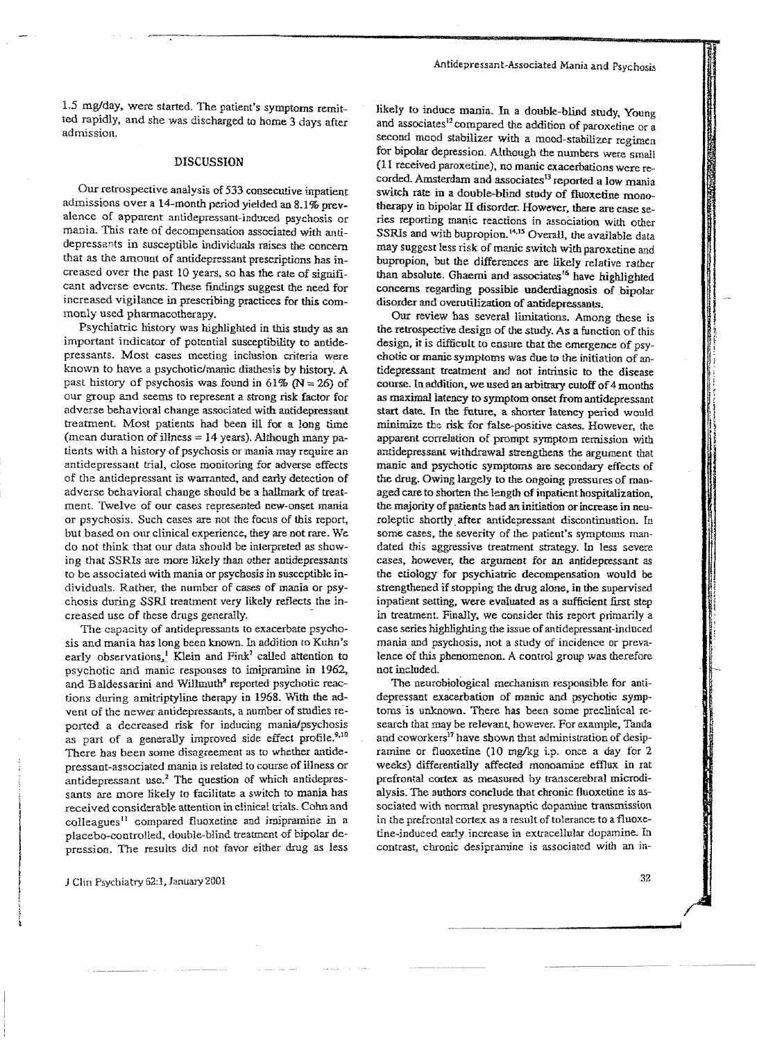1.5 mg/day, were started. The patient's symptoms remitted rapidly, and she was discharged to home 3 days after admission.

### DISCUSSION

Our retrospective analysis of 533 consecutive inpatient admissions over a 14-montb period yielded an 8.1% prevalence of apparent antidepressant-induced psychosis or mania. This rate of decompensation associated with antidepressants in susceptible individuals raises the concern that as the amount of antidepressant prescriptions has increased over the past 10 years, so has the rate of significant adverse events. These findings suggest the need for increased vigilance in prescribing practices for this commonly used pharmacotherapy.

Psychiatric history was highlighted in this study as an important indicator of potential susceptibility to antidepressants. Most cases meeting inclusion criteria were known to have a psychotic/manic diathesis by history. A past history of psychosis was found in 61% ( $N = 26$ ) of our group and seems to represent a strong risk factor for adverse behavioral change associated with antidepressant treatment. Most patients had been ill for a long time (mean duration of illness  $= 14$  years). Although many patients with a history of psychosis or mania may require an antidepressant trial, close monitoring for adverse effects of the antidepressant is warranted, and early detection of adverse behavioral change should be a hallmark of treatment. Twelve of our cases represented new-onset mania *oc* psychosis. Such cases are not the focus of this report, but based on our clinical experience. they are not rare. We do not think that our data should be interpreted as showing that SSRIs are more likely than other antidepressants to be associated with mania or psychosjs in susceptible individuals. Rather, the number of cases of mania or psychosis during SSRI treatment very likely reflects the increased use of these drugs generally.

The capacity of antidepressants to exacerbate psychosis and mania has long been known. In addition to Kuhn's early observations,<sup>1</sup> Klein and Fink<sup>1</sup> called attention to psychotic and manic responses to imipramine in 1962, and B aldessarini and Willmuth<sup>8</sup> reported psychotic reactions during amitriptyline therapy in 1968. With the advent of the newer antidepressants, a number of studies reported a decreased risk for inducing mania/psychosis as part of a generally improved side effect profile.<sup>9,10</sup> There has been some disagreement as to whether antidepressant-associated mania is related to course of illness or antidepressant use.2 The question of which antidepressants are more likely to facilitate a switch to mania has received considerable attention in clinical trials. Cohn and colleagues<sup>11</sup> compared fluoxetine and imipramine in a placebo-controlled, double-blind treatment of bipolar depression. The results did not favor either drug as less likely to induce mania. In a double-blind study, Young and associates<sup>12</sup> compared the addition of paroxetine or a second mood stabilizer with a mood-stabilizer regimen for bipolar depression. Although the numbers were small (11 received paroxetlne), no manic exacerbations were recorded. Amsterdam and associates<sup>13</sup> reported a low mania switch rate in a double-blind study of fluoxetine monotherapy in bipolar II disorder. However, there are case series reporting manic reactions in association with other SSRIs and with bupropion.<sup>14,15</sup> Overall, the available data may suggest less risk of manic switch with paroxetine and bupropion, but the differences are likely relative rather than absolute. Ghaemi and associates<sup>16</sup> have highlighted concerns regarding possible underdiagnosis of bipolar disorder and overutilization of antidepressants.

Our review has several limitations. Among these is the retrospective design of the study. As a function of this design, it is difficult to ensure that the emergence of psychotic or manic symptoms was due to the initiation of antidepressant treatment and not intrinsic to the disease course. In addition, we used an arbitrary cutoff of 4 months as maximal latency to symptom onset from antidepressant start date. In the future, a shorter latency pericd would minimize the risk for false-positive cases. However, the apparent correlation of prompt symptom remission with antidepressant withdrawal strengthens the argument that manic and psychotic symptoms are secmidary effects of the drug. Owing largely to the ongoing pressures of managed care to shorten the length of inpatient hospitalization, the majority of patients had an initiation or increase in neuroleptic shortly. after antidepressant discontinuation. In some cases, the severity of the patient's symptoms mandated this aggressive treatment strategy. In less severe cases. however, the argument for an antidepressant as the etiology for psychiatric decompensation would be strengthened if stopping the drug alone. in the supervised inpatient setting, were evaluated as a sufficient first step in treatment. Finally, we consider this report primarily a case series highlighting the issue of antidepressant-induced mania and psychosis, not a study of incidence or prevalence of this phenomenon. A control group was therefore not included.

The neurobiological mechanism responsible for antidepressant exacerbation of manic and psychotic symptoms is unknown. There has been some preclinical research that may be relevant, however. For example, Tanda and coworkers<sup>17</sup> have shown that administration of desipramine or fluoxetine (10 mg/kg i.p. once a day for 2 weeks) differentially affected monoamine efflux in rat prefrontal cortex as measured by transcerebral microdialysis. The authors conclude that chronic fluoxetine is associated with normal presynaptic dopamine transmission in the prefrontal cortex as a result of tolerance to a fluoxetine-induced early increase in extracellular dopamine. In contrast, chronic desipramine is associated with an jn-